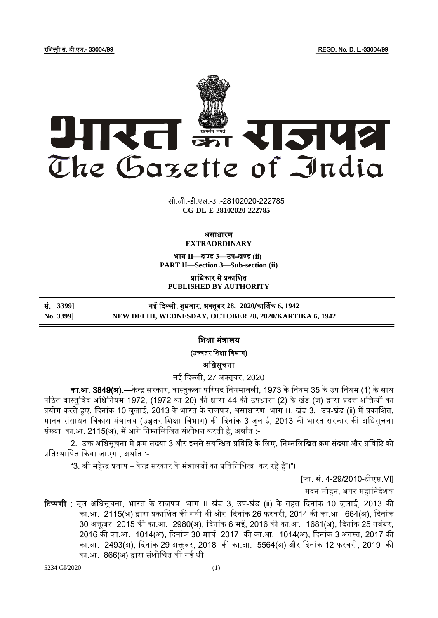रजिस्ट्री सं. डी.एल.- 33004/99 REGD. No. D. L.-33004/99



**xxxGIDHxxx xxxGIDExxx CG-DL-E-28102020-222785**सी.जी.-डी.एल.-अ.-28102020-222785

#### असाधारण **EXTRAORDINARY**

भाग **II**—खण् ड **3**—उप-खण् ड **(ii) PART II—Section 3—Sub-section (ii)**

प्राजधकार से प्रकाजित **PUBLISHED BY AUTHORITY**

सं. **3399]** नई दिल्ली, बुधिार, अक् तूबर **28, 2020**/कार्ताक **6, 1942 No. 3399] NEW DELHI, WEDNESDAY, OCTOBER 28, 2020/KARTIKA 6, 1942**

जिक्षा मंत्रालय

(उच्चतर शिक्षा विभाग)

अजधसूचना

नई दिल्ली, 27 अक्तुबर, 2020

<mark>का.आ. 3849(अ).—</mark>केन्द्र सरकार, वास्तुकला परिषद नियमावली, 1973 के नियम 35 के उप नियम (1) के साथ पठित वास्तुविद अधिनियम 1972, (1972 का 20) की धारा 44 की उपधारा (2) के खंड (ज) द्वारा प्रदत्त शक्तियों का प्रयोग करते हुए, दिनांक 10 जुलाई, 2013 के भारत के राजपत्र, असाधारण, भाग II, खंड 3, उप-खंड (ii) में प्रकाशित, मानव संसाधन विकास मंत्रालय (उच्चतर शिक्षा विभाग) की दिनांक 3 जुलाई, 2013 की भारत सरकार की अधिसूचना संख्या का.आ. 2115(अ), में आगे निम्नलिखित संशोधन करती है, अर्थात :-

2. उक्त अधिसूचना मे क्रम संख्या 3 और इससे संबन्धित प्रविष्टि के लिए, निम्नलिखित क्रम संख्या और प्रविष्टि को प्रतिस्थापित किया जाएगा, अर्थात :-

"3. श्री महेन्द्र प्रताप – केन्द्र सरकार के मंत्रालयों का प्रतिनिधित्व कर रहे हैं"।"।

[फा. सं. 4-29/2010-टीएस.VI]

मदन मोहन, अपर महानिदेशक

रिप्पणी : मूल अधिसूचना, भारत के राजपत्र, भाग II खंड 3, उप-खंड (ii) के तहत दिनांक 10 जुलाई, 2013 की का.आ. 2115(अ) द्वारा प्रकाशित की गयी थी और दिनांक 26 फरवरी, 2014 की का.आ. 664(अ), दिनांक 30 अिू बर, 2015 की का.आ. 2980(अ), दिनांक 6 मई, 2016 की का.आ. 1681(अ), दिनांक 25 निंबर, 2016 की का.आ. 1014(अ), दिनांक 30 माचा, 2017 की का.आ. 1014(अ), दिनांक 3 अगस्ट्त, 2017 की का.आ. 2493(अ), दिनांक 29 अक्तूबर, 2018 की का.आ. 5564(अ) और दिनांक 12 फरवरी, 2019 की का.आ. 866(अ) द्वारा संशोधित की गई थी।

5234 GI/2020 (1)